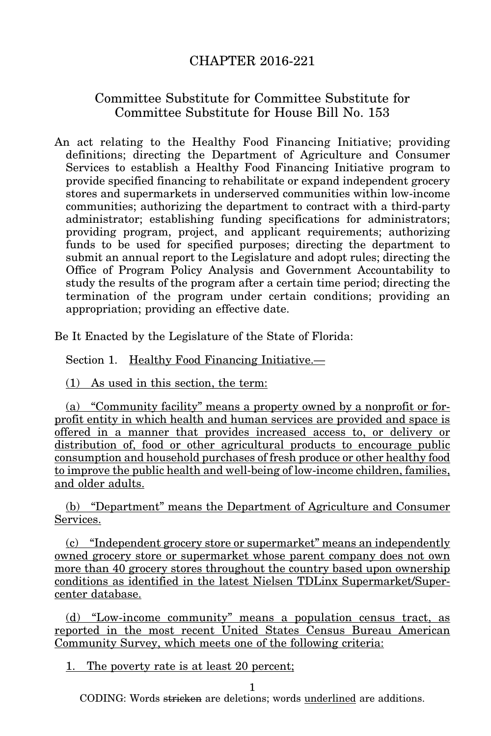## CHAPTER 2016-221

## Committee Substitute for Committee Substitute for Committee Substitute for House Bill No. 153

An act relating to the Healthy Food Financing Initiative; providing definitions; directing the Department of Agriculture and Consumer Services to establish a Healthy Food Financing Initiative program to provide specified financing to rehabilitate or expand independent grocery stores and supermarkets in underserved communities within low-income communities; authorizing the department to contract with a third-party administrator; establishing funding specifications for administrators; providing program, project, and applicant requirements; authorizing funds to be used for specified purposes; directing the department to submit an annual report to the Legislature and adopt rules; directing the Office of Program Policy Analysis and Government Accountability to study the results of the program after a certain time period; directing the termination of the program under certain conditions; providing an appropriation; providing an effective date.

Be It Enacted by the Legislature of the State of Florida:

Section 1. Healthy Food Financing Initiative.—

(1) As used in this section, the term:

(a) "Community facility" means a property owned by a nonprofit or forprofit entity in which health and human services are provided and space is offered in a manner that provides increased access to, or delivery or distribution of, food or other agricultural products to encourage public consumption and household purchases of fresh produce or other healthy food to improve the public health and well-being of low-income children, families, and older adults.

(b) "Department" means the Department of Agriculture and Consumer Services.

(c) "Independent grocery store or supermarket" means an independently owned grocery store or supermarket whose parent company does not own more than 40 grocery stores throughout the country based upon ownership conditions as identified in the latest Nielsen TDLinx Supermarket/Supercenter database.

(d) "Low-income community" means a population census tract, as reported in the most recent United States Census Bureau American Community Survey, which meets one of the following criteria:

1. The poverty rate is at least 20 percent;

1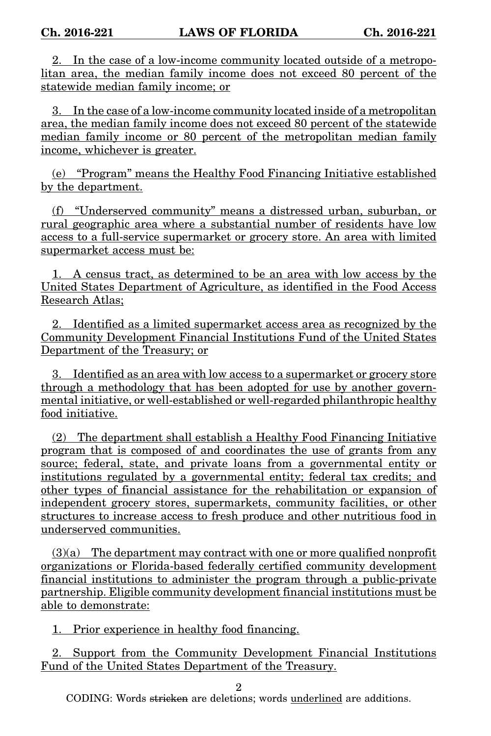2. In the case of a low-income community located outside of a metropolitan area, the median family income does not exceed 80 percent of the statewide median family income; or

3. In the case of a low-income community located inside of a metropolitan area, the median family income does not exceed 80 percent of the statewide median family income or 80 percent of the metropolitan median family income, whichever is greater.

(e) "Program" means the Healthy Food Financing Initiative established by the department.

(f) "Underserved community" means a distressed urban, suburban, or rural geographic area where a substantial number of residents have low access to a full-service supermarket or grocery store. An area with limited supermarket access must be:

1. A census tract, as determined to be an area with low access by the United States Department of Agriculture, as identified in the Food Access Research Atlas;

2. Identified as a limited supermarket access area as recognized by the Community Development Financial Institutions Fund of the United States Department of the Treasury; or

3. Identified as an area with low access to a supermarket or grocery store through a methodology that has been adopted for use by another governmental initiative, or well-established or well-regarded philanthropic healthy food initiative.

(2) The department shall establish a Healthy Food Financing Initiative program that is composed of and coordinates the use of grants from any source; federal, state, and private loans from a governmental entity or institutions regulated by a governmental entity; federal tax credits; and other types of financial assistance for the rehabilitation or expansion of independent grocery stores, supermarkets, community facilities, or other structures to increase access to fresh produce and other nutritious food in underserved communities.

 $(3)(a)$  The department may contract with one or more qualified nonprofit organizations or Florida-based federally certified community development financial institutions to administer the program through a public-private partnership. Eligible community development financial institutions must be able to demonstrate:

1. Prior experience in healthy food financing.

2. Support from the Community Development Financial Institutions Fund of the United States Department of the Treasury.

2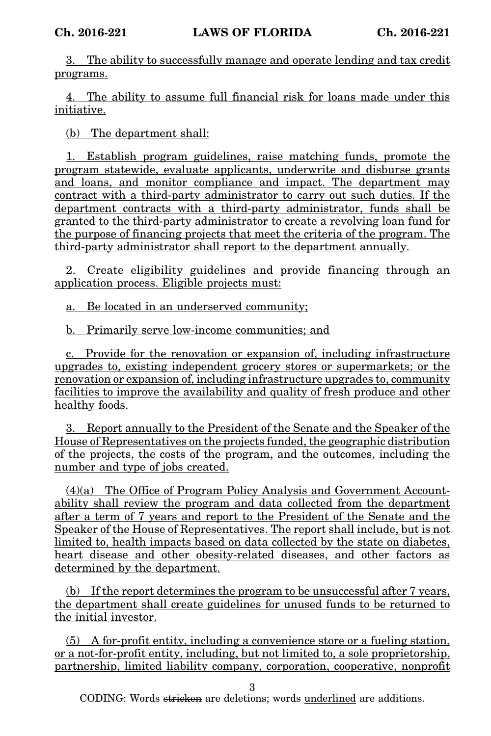3. The ability to successfully manage and operate lending and tax credit programs.

4. The ability to assume full financial risk for loans made under this initiative.

(b) The department shall:

1. Establish program guidelines, raise matching funds, promote the program statewide, evaluate applicants, underwrite and disburse grants and loans, and monitor compliance and impact. The department may contract with a third-party administrator to carry out such duties. If the department contracts with a third-party administrator, funds shall be granted to the third-party administrator to create a revolving loan fund for the purpose of financing projects that meet the criteria of the program. The third-party administrator shall report to the department annually.

2. Create eligibility guidelines and provide financing through an application process. Eligible projects must:

a. Be located in an underserved community;

b. Primarily serve low-income communities; and

c. Provide for the renovation or expansion of, including infrastructure upgrades to, existing independent grocery stores or supermarkets; or the renovation or expansion of, including infrastructure upgrades to, community facilities to improve the availability and quality of fresh produce and other healthy foods.

3. Report annually to the President of the Senate and the Speaker of the House of Representatives on the projects funded, the geographic distribution of the projects, the costs of the program, and the outcomes, including the number and type of jobs created.

(4)(a) The Office of Program Policy Analysis and Government Accountability shall review the program and data collected from the department after a term of 7 years and report to the President of the Senate and the Speaker of the House of Representatives. The report shall include, but is not limited to, health impacts based on data collected by the state on diabetes, heart disease and other obesity-related diseases, and other factors as determined by the department.

(b) If the report determines the program to be unsuccessful after 7 years, the department shall create guidelines for unused funds to be returned to the initial investor.

(5) A for-profit entity, including a convenience store or a fueling station, or a not-for-profit entity, including, but not limited to, a sole proprietorship, partnership, limited liability company, corporation, cooperative, nonprofit

3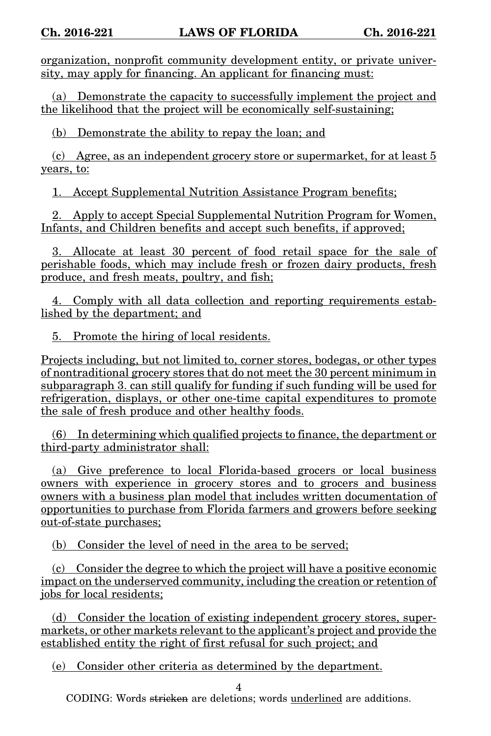organization, nonprofit community development entity, or private university, may apply for financing. An applicant for financing must:

(a) Demonstrate the capacity to successfully implement the project and the likelihood that the project will be economically self-sustaining;

(b) Demonstrate the ability to repay the loan; and

(c) Agree, as an independent grocery store or supermarket, for at least 5 years, to:

1. Accept Supplemental Nutrition Assistance Program benefits;

2. Apply to accept Special Supplemental Nutrition Program for Women, Infants, and Children benefits and accept such benefits, if approved:

3. Allocate at least 30 percent of food retail space for the sale of perishable foods, which may include fresh or frozen dairy products, fresh produce, and fresh meats, poultry, and fish;

4. Comply with all data collection and reporting requirements established by the department; and

5. Promote the hiring of local residents.

Projects including, but not limited to, corner stores, bodegas, or other types of nontraditional grocery stores that do not meet the 30 percent minimum in subparagraph 3. can still qualify for funding if such funding will be used for refrigeration, displays, or other one-time capital expenditures to promote the sale of fresh produce and other healthy foods.

(6) In determining which qualified projects to finance, the department or third-party administrator shall:

(a) Give preference to local Florida-based grocers or local business owners with experience in grocery stores and to grocers and business owners with a business plan model that includes written documentation of opportunities to purchase from Florida farmers and growers before seeking out-of-state purchases;

(b) Consider the level of need in the area to be served;

(c) Consider the degree to which the project will have a positive economic impact on the underserved community, including the creation or retention of jobs for local residents;

(d) Consider the location of existing independent grocery stores, supermarkets, or other markets relevant to the applicant's project and provide the established entity the right of first refusal for such project; and

(e) Consider other criteria as determined by the department.

4